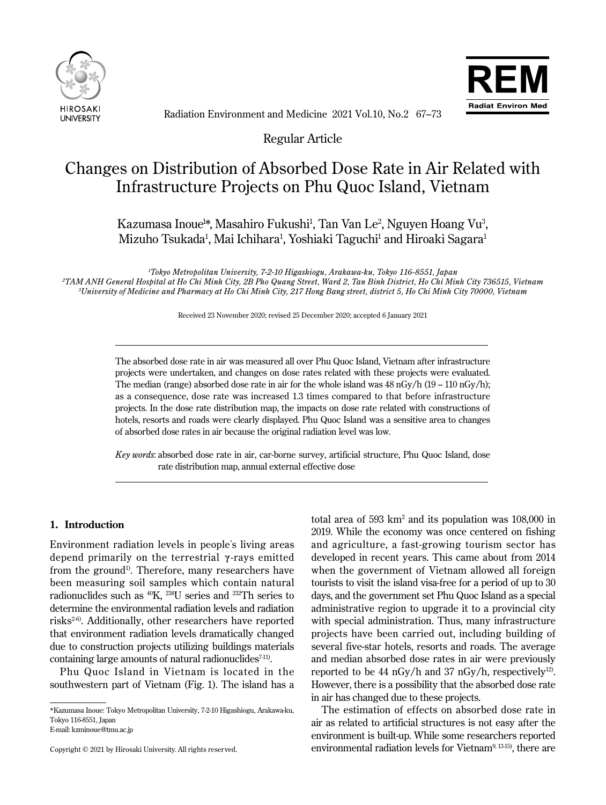



Radiation Environment and Medicine 2021 Vol.10, No.2 67–73

Regular Article

# Changes on Distribution of Absorbed Dose Rate in Air Related with Infrastructure Projects on Phu Quoc Island, Vietnam

Kazumasa Inoue½, Masahiro Fukushi<sup>1</sup>, Tan Van Le<sup>2</sup>, Nguyen Hoang Vu<sup>3</sup>, Mizuho Tsukada<sup>1</sup>, Mai Ichihara<sup>1</sup>, Yoshiaki Taguchi<sup>1</sup> and Hiroaki Sagara<sup>1</sup>

*1 Tokyo Metropolitan University, 7-2-10 Higashiogu, Arakawa-ku, Tokyo 116-8551, Japan 2TAM ANH General Hospital at Ho Chi Minh City, 2B Pho Quang Street, Ward 2, Tan Binh District, Ho Chi Minh City 736515, Vietnam 3 University of Medicine and Pharmacy at Ho Chi Minh City, 217 Hong Bang street, district 5, Ho Chi Minh City 70000, Vietnam*

Received 23 November 2020; revised 25 December 2020; accepted 6 January 2021

The absorbed dose rate in air was measured all over Phu Quoc Island, Vietnam after infrastructure projects were undertaken, and changes on dose rates related with these projects were evaluated. The median (range) absorbed dose rate in air for the whole island was  $48 \text{ nGy/h}$  (19 – 110 nGy/h); as a consequence, dose rate was increased 1.3 times compared to that before infrastructure projects. In the dose rate distribution map, the impacts on dose rate related with constructions of hotels, resorts and roads were clearly displayed. Phu Quoc Island was a sensitive area to changes of absorbed dose rates in air because the original radiation level was low.

*Key words*: absorbed dose rate in air, car-borne survey, artificial structure, Phu Quoc Island, dose rate distribution map, annual external effective dose

# **1. Introduction**

Ī

 $\overline{a}$ 

Environment radiation levels in people's living areas depend primarily on the terrestrial **γ** -rays emitted from the ground<sup>1)</sup>. Therefore, many researchers have been measuring soil samples which contain natural radionuclides such as  $^{40}K$ ,  $^{238}U$  series and  $^{232}Th$  series to determine the environmental radiation levels and radiation risks<sup>2-6)</sup>. Additionally, other researchers have reported that environment radiation levels dramatically changed due to construction projects utilizing buildings materials containing large amounts of natural radionuclides $7-11$ .

Phu Quoc Island in Vietnam is located in the southwestern part of Vietnam (Fig. 1). The island has a

E-mail: kzminoue@tmu.ac.jp

total area of  $593 \text{ km}^2$  and its population was  $108,000$  in 2019. While the economy was once centered on fishing and agriculture, a fast-growing tourism sector has developed in recent years. This came about from 2014 when the government of Vietnam allowed all foreign tourists to visit the island visa-free for a period of up to 30 days, and the government set Phu Quoc Island as a special administrative region to upgrade it to a provincial city with special administration. Thus, many infrastructure projects have been carried out, including building of several five-star hotels, resorts and roads. The average and median absorbed dose rates in air were previously reported to be 44 nGy/h and 37 nGy/h, respectively<sup>12)</sup>. However, there is a possibility that the absorbed dose rate in air has changed due to these projects.

The estimation of effects on absorbed dose rate in air as related to artificial structures is not easy after the environment is built-up. While some researchers reported environmental radiation levels for Vietnam<sup>9, 13-15</sup>, there are

<sup>\*</sup>Kazumasa Inoue: Tokyo Metropolitan University, 7-2-10 Higashiogu, Arakawa-ku, Tokyo 116-8551, Japan

Copyright © 2021 by Hirosaki University. All rights reserved.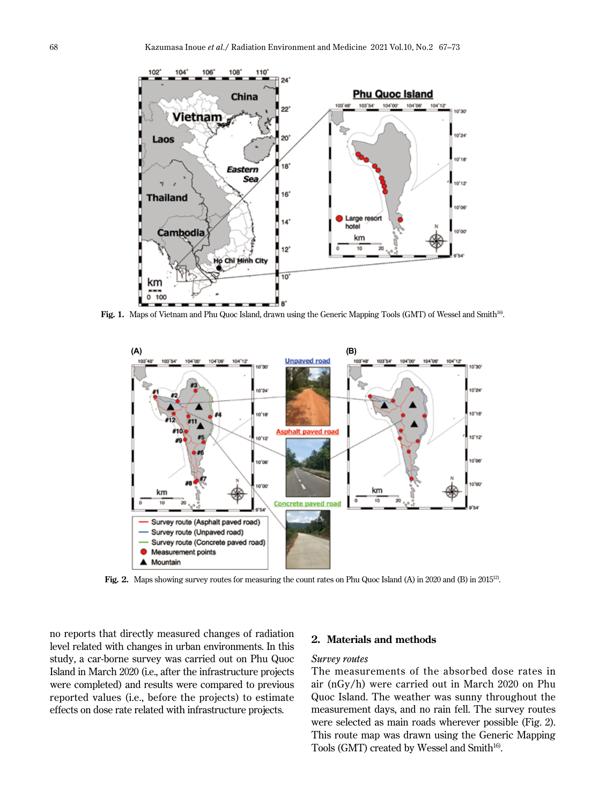

**Fig. 1.** Maps of Vietnam and Phu Quoc Island, drawn using the Generic Mapping Tools (GMT) of Wessel and Smith16).



**Fig. 2.** Maps showing survey routes for measuring the count rates on Phu Quoc Island (A) in 2020 and (B) in 2015<sup>12</sup>.

no reports that directly measured changes of radiation level related with changes in urban environments. In this study, a car-borne survey was carried out on Phu Quoc Island in March 2020 (i.e., after the infrastructure projects were completed) and results were compared to previous reported values (i.e., before the projects) to estimate effects on dose rate related with infrastructure projects.

# **2. Materials and methods**

#### *Survey routes*

The measurements of the absorbed dose rates in air (nGy/h) were carried out in March 2020 on Phu Quoc Island. The weather was sunny throughout the measurement days, and no rain fell. The survey routes were selected as main roads wherever possible (Fig. 2). This route map was drawn using the Generic Mapping Tools (GMT) created by Wessel and Smith<sup>16)</sup>.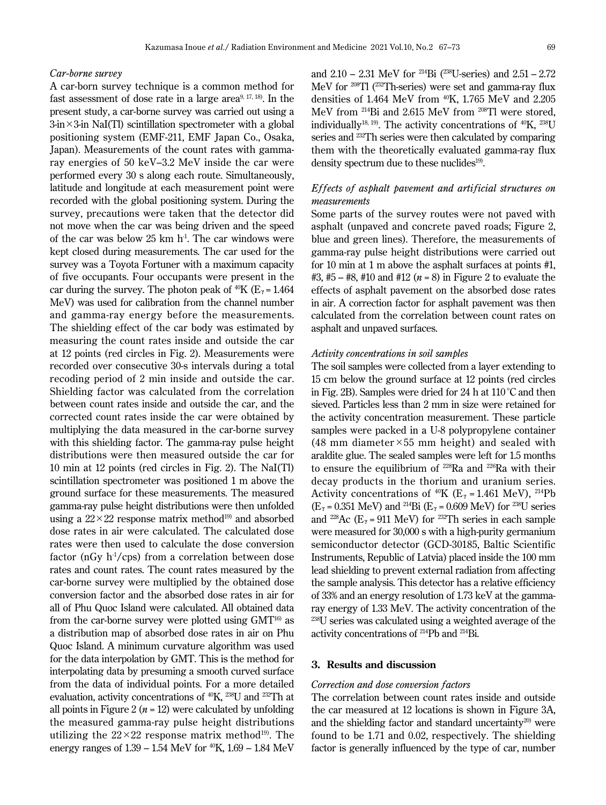## *Car-borne survey*

A car-born survey technique is a common method for fast assessment of dose rate in a large area $9,17,18$ ). In the present study, a car-borne survey was carried out using a  $3\text{-}in \times 3\text{-}in$  NaI(Tl) scintillation spectrometer with a global positioning system (EMF-211, EMF Japan Co., Osaka, Japan). Measurements of the count rates with gammaray energies of 50 keV–3.2 MeV inside the car were performed every 30 s along each route. Simultaneously, latitude and longitude at each measurement point were recorded with the global positioning system. During the survey, precautions were taken that the detector did not move when the car was being driven and the speed of the car was below  $25 \text{ km h}^1$ . The car windows were kept closed during measurements. The car used for the survey was a Toyota Fortuner with a maximum capacity of five occupants. Four occupants were present in the car during the survey. The photon peak of  $^{40}K$  (E<sub>*γ*</sub> = 1.464) MeV) was used for calibration from the channel number and gamma-ray energy before the measurements. The shielding effect of the car body was estimated by measuring the count rates inside and outside the car at 12 points (red circles in Fig. 2). Measurements were recorded over consecutive 30-s intervals during a total recoding period of 2 min inside and outside the car. Shielding factor was calculated from the correlation between count rates inside and outside the car, and the corrected count rates inside the car were obtained by multiplying the data measured in the car-borne survey with this shielding factor. The gamma-ray pulse height distributions were then measured outside the car for 10 min at 12 points (red circles in Fig. 2). The NaI(Tl) scintillation spectrometer was positioned 1 m above the ground surface for these measurements. The measured gamma-ray pulse height distributions were then unfolded using a  $22 \times 22$  response matrix method<sup>19)</sup> and absorbed dose rates in air were calculated. The calculated dose rates were then used to calculate the dose conversion factor (nGy  $h^{-1}/cps$ ) from a correlation between dose rates and count rates. The count rates measured by the car-borne survey were multiplied by the obtained dose conversion factor and the absorbed dose rates in air for all of Phu Quoc Island were calculated. All obtained data from the car-borne survey were plotted using  $GMT^{16}$  as a distribution map of absorbed dose rates in air on Phu Quoc Island. A minimum curvature algorithm was used for the data interpolation by GMT. This is the method for interpolating data by presuming a smooth curved surface from the data of individual points. For a more detailed evaluation, activity concentrations of 40K, 238U and 232Th at all points in Figure 2 ( $n = 12$ ) were calculated by unfolding the measured gamma-ray pulse height distributions utilizing the  $22 \times 22$  response matrix method<sup>19)</sup>. The energy ranges of  $1.39 - 1.54$  MeV for  $^{40}$ K,  $1.69 - 1.84$  MeV

and  $2.10 - 2.31$  MeV for <sup>214</sup>Bi (<sup>238</sup>U-series) and  $2.51 - 2.72$ MeV for 208Tl (232Th-series) were set and gamma-ray flux densities of 1.464 MeV from 40K, 1.765 MeV and 2.205 MeV from 214Bi and 2.615 MeV from 208Tl were stored, individually<sup>18, 19</sup>). The activity concentrations of  $40$ K,  $238$ U series and 232Th series were then calculated by comparing them with the theoretically evaluated gamma-ray flux density spectrum due to these nuclides<sup>19</sup>.

# *Ef fects of asphalt pavement and artificial structures on measurements*

Some parts of the survey routes were not paved with asphalt (unpaved and concrete paved roads; Figure 2, blue and green lines). Therefore, the measurements of gamma-ray pulse height distributions were carried out for 10 min at 1 m above the asphalt surfaces at points #1, #3, #5 – #8, #10 and #12 (*n* = 8) in Figure 2 to evaluate the effects of asphalt pavement on the absorbed dose rates in air. A correction factor for asphalt pavement was then calculated from the correlation between count rates on asphalt and unpaved surfaces.

#### *Activity concentrations in soil samples*

The soil samples were collected from a layer extending to 15 cm below the ground surface at 12 points (red circles in Fig. 2B). Samples were dried for 24 h at  $110^{\circ}$ C and then sieved. Particles less than 2 mm in size were retained for the activity concentration measurement. These particle samples were packed in a U-8 polypropylene container (48 mm diameter  $\times$  55 mm height) and sealed with araldite glue. The sealed samples were left for 1.5 months to ensure the equilibrium of 228Ra and 226Ra with their decay products in the thorium and uranium series. Activity concentrations of <sup>40</sup>K ( $E_\gamma$  = 1.461 MeV), <sup>214</sup>Pb  $(E<sub>y</sub> = 0.351 \text{ MeV})$  and <sup>214</sup>Bi ( $E<sub>y</sub> = 0.609 \text{ MeV}$ ) for <sup>238</sup>U series and <sup>228</sup>Ac ( $E_\gamma$  = 911 MeV) for <sup>232</sup>Th series in each sample were measured for 30,000 s with a high-purity germanium semiconductor detector (GCD-30185, Baltic Scientific Instruments, Republic of Latvia) placed inside the 100 mm lead shielding to prevent external radiation from affecting the sample analysis. This detector has a relative efficiency of 33% and an energy resolution of 1.73 keV at the gammaray energy of 1.33 MeV. The activity concentration of the 238U series was calculated using a weighted average of the activity concentrations of 214Pb and 214Bi.

# **3. Results and discussion**

# *Correction and dose conversion factors*

The correlation between count rates inside and outside the car measured at 12 locations is shown in Figure 3A, and the shielding factor and standard uncertainty $20$  were found to be 1.71 and 0.02, respectively. The shielding factor is generally influenced by the type of car, number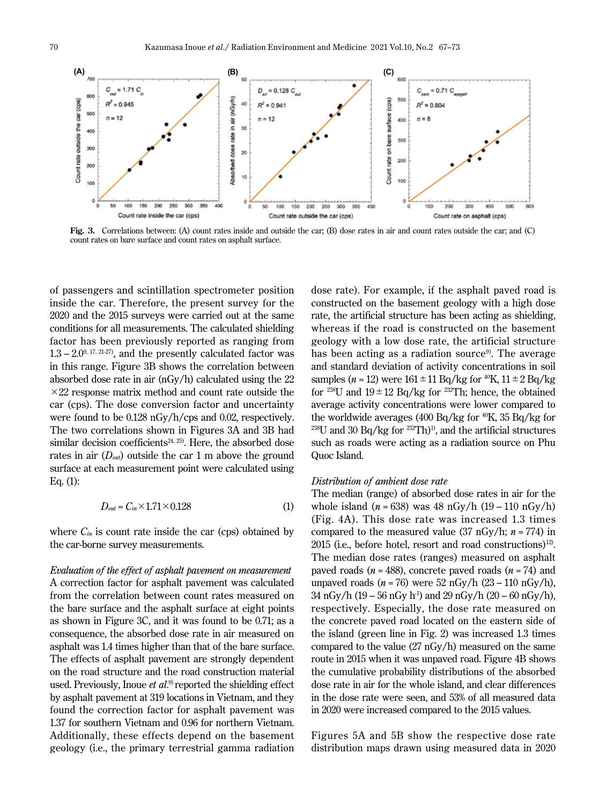

**Fig. 3.** Correlations between: (A) count rates inside and outside the car; (B) dose rates in air and count rates outside the car; and (C) count rates on bare surface and count rates on asphalt surface.

of passengers and scintillation spectrometer position inside the car. Therefore, the present survey for the 2020 and the 2015 surveys were carried out at the same conditions for all measurements. The calculated shielding factor has been previously reported as ranging from  $1.3 - 2.0^{9,17,21-27}$ , and the presently calculated factor was in this range. Figure 3B shows the correlation between absorbed dose rate in air (nGy/h) calculated using the 22  $\times$ 22 response matrix method and count rate outside the car (cps). The dose conversion factor and uncertainty were found to be 0.128 nGy/h/cps and 0.02, respectively. The two correlations shown in Figures 3A and 3B had similar decision coefficients $24, 25$ ). Here, the absorbed dose rates in air (*Dout*) outside the car 1 m above the ground surface at each measurement point were calculated using Eq. (1):

$$
D_{out} = C_{in} \times 1.71 \times 0.128 \tag{1}
$$

where  $C_{in}$  is count rate inside the car (cps) obtained by the car-borne survey measurements.

*Evaluation of the effect of asphalt pavement on measurement* A correction factor for asphalt pavement was calculated from the correlation between count rates measured on the bare surface and the asphalt surface at eight points as shown in Figure 3C, and it was found to be 0.71; as a consequence, the absorbed dose rate in air measured on asphalt was 1.4 times higher than that of the bare surface. The effects of asphalt pavement are strongly dependent on the road structure and the road construction material used. Previously, Inoue *et al*. 9) reported the shielding effect by asphalt pavement at 319 locations in Vietnam, and they found the correction factor for asphalt pavement was 1.37 for southern Vietnam and 0.96 for northern Vietnam. Additionally, these effects depend on the basement geology (i.e., the primary terrestrial gamma radiation

dose rate). For example, if the asphalt paved road is constructed on the basement geology with a high dose rate, the artificial structure has been acting as shielding, whereas if the road is constructed on the basement geology with a low dose rate, the artificial structure has been acting as a radiation source<sup>9)</sup>. The average and standard deviation of activity concentrations in soil samples ( $n = 12$ ) were  $161 \pm 11$  Bq/kg for <sup>40</sup>K,  $11 \pm 2$  Bq/kg for <sup>238</sup>U and  $19 \pm 12$  Bq/kg for <sup>232</sup>Th; hence, the obtained average activity concentrations were lower compared to the worldwide averages (400 Bq/kg for  $^{40}$ K, 35 Bq/kg for  $^{238}$ U and 30 Bq/kg for  $^{232}$ Th)<sup>1</sup>, and the artificial structures such as roads were acting as a radiation source on Phu Quoc Island.

#### *Distribution of ambient dose rate*

The median (range) of absorbed dose rates in air for the whole island  $(n = 638)$  was 48 nGy/h  $(19 - 110 \text{ nGy/h})$ (Fig. 4A). This dose rate was increased 1.3 times compared to the measured value (37 nGy/h; *n* = 774) in  $2015$  (i.e., before hotel, resort and road constructions)<sup>12)</sup>. The median dose rates (ranges) measured on asphalt paved roads (*n* = 488), concrete paved roads (*n* = 74) and unpaved roads (*n* = 76) were 52 nGy/h (23 – 110 nGy/h), 34 nGy/h (19 – 56 nGy h<sup>-1</sup>) and 29 nGy/h (20 – 60 nGy/h), respectively. Especially, the dose rate measured on the concrete paved road located on the eastern side of the island (green line in Fig. 2) was increased 1.3 times compared to the value (27 nGy/h) measured on the same route in 2015 when it was unpaved road. Figure 4B shows the cumulative probability distributions of the absorbed dose rate in air for the whole island, and clear differences in the dose rate were seen, and 53% of all measured data in 2020 were increased compared to the 2015 values.

Figures 5A and 5B show the respective dose rate distribution maps drawn using measured data in 2020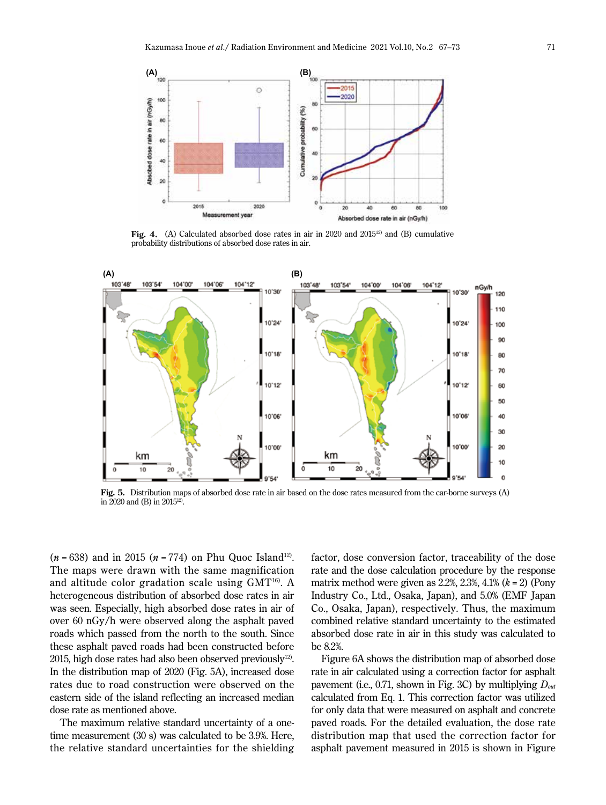

Fig. 4. (A) Calculated absorbed dose rates in air in 2020 and 2015<sup>12)</sup> and (B) cumulative probability distributions of absorbed dose rates in air.



**Fig. 5.** Distribution maps of absorbed dose rate in air based on the dose rates measured from the car-borne surveys (A) in 2020 and (B) in 201512).

 $(n = 638)$  and in 2015  $(n = 774)$  on Phu Quoc Island<sup>12</sup>. The maps were drawn with the same magnification and altitude color gradation scale using GMT16). A heterogeneous distribution of absorbed dose rates in air was seen. Especially, high absorbed dose rates in air of over 60 nGy/h were observed along the asphalt paved roads which passed from the north to the south. Since these asphalt paved roads had been constructed before 2015, high dose rates had also been observed previously $^{12}$ . In the distribution map of 2020 (Fig. 5A), increased dose rates due to road construction were observed on the eastern side of the island reflecting an increased median dose rate as mentioned above.

The maximum relative standard uncertainty of a onetime measurement (30 s) was calculated to be 3.9%. Here, the relative standard uncertainties for the shielding

factor, dose conversion factor, traceability of the dose rate and the dose calculation procedure by the response matrix method were given as 2.2%, 2.3%, 4.1% (*k* = 2) (Pony Industry Co., Ltd., Osaka, Japan), and 5.0% (EMF Japan Co., Osaka, Japan), respectively. Thus, the maximum combined relative standard uncertainty to the estimated absorbed dose rate in air in this study was calculated to be 8.2%.

Figure 6A shows the distribution map of absorbed dose rate in air calculated using a correction factor for asphalt pavement (i.e., 0.71, shown in Fig. 3C) by multiplying *Dout* calculated from Eq. 1. This correction factor was utilized for only data that were measured on asphalt and concrete paved roads. For the detailed evaluation, the dose rate distribution map that used the correction factor for asphalt pavement measured in 2015 is shown in Figure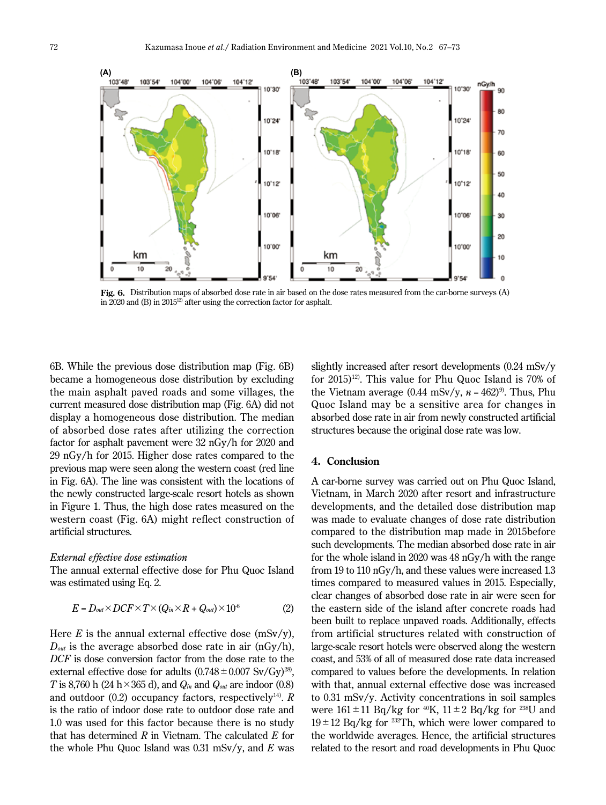

**Fig. 6.** Distribution maps of absorbed dose rate in air based on the dose rates measured from the car-borne surveys (A) in 2020 and (B) in 201512) after using the correction factor for asphalt.

6B. While the previous dose distribution map (Fig. 6B) became a homogeneous dose distribution by excluding the main asphalt paved roads and some villages, the current measured dose distribution map (Fig. 6A) did not display a homogeneous dose distribution. The median of absorbed dose rates after utilizing the correction factor for asphalt pavement were 32 nGy/h for 2020 and 29 nGy/h for 2015. Higher dose rates compared to the previous map were seen along the western coast (red line in Fig. 6A). The line was consistent with the locations of the newly constructed large-scale resort hotels as shown in Figure 1. Thus, the high dose rates measured on the western coast (Fig. 6A) might reflect construction of artificial structures.

#### *External effective dose estimation*

The annual external effective dose for Phu Quoc Island was estimated using Eq. 2.

$$
E = D_{out} \times DCF \times T \times (Q_{in} \times R + Q_{out}) \times 10^6 \tag{2}
$$

Here  $E$  is the annual external effective dose (mSv/y),  $D_{out}$  is the average absorbed dose rate in air  $(nGy/h)$ , *DCF* is dose conversion factor from the dose rate to the external effective dose for adults  $(0.748 \pm 0.007 \text{ Sv/Gy})^{28}$ , *T* is 8,760 h (24 h×365 d), and *Qin* and *Qout* are indoor (0.8) and outdoor (0.2) occupancy factors, respectively<sup>14)</sup>. *R* is the ratio of indoor dose rate to outdoor dose rate and 1.0 was used for this factor because there is no study that has determined *R* in Vietnam. The calculated *E* for the whole Phu Quoc Island was 0.31 mSv/y, and *E* was

slightly increased after resort developments (0.24 mSv/y for  $2015)^{12}$ . This value for Phu Quoc Island is 70% of the Vietnam average  $(0.44 \text{ mSv/y}, n = 462)$ <sup>9)</sup>. Thus, Phu Quoc Island may be a sensitive area for changes in absorbed dose rate in air from newly constructed artificial structures because the original dose rate was low.

## **4. Conclusion**

A car-borne survey was carried out on Phu Quoc Island, Vietnam, in March 2020 after resort and infrastructure developments, and the detailed dose distribution map was made to evaluate changes of dose rate distribution compared to the distribution map made in 2015before such developments. The median absorbed dose rate in air for the whole island in 2020 was 48 nGy/h with the range from 19 to 110 nGy/h, and these values were increased 1.3 times compared to measured values in 2015. Especially, clear changes of absorbed dose rate in air were seen for the eastern side of the island after concrete roads had been built to replace unpaved roads. Additionally, effects from artificial structures related with construction of large-scale resort hotels were observed along the western coast, and 53% of all of measured dose rate data increased compared to values before the developments. In relation with that, annual external effective dose was increased to 0.31 mSv/y. Activity concentrations in soil samples were  $161 \pm 11$  Bq/kg for <sup>40</sup>K,  $11 \pm 2$  Bq/kg for <sup>238</sup>U and  $19 \pm 12$  Bq/kg for <sup>232</sup>Th, which were lower compared to the worldwide averages. Hence, the artificial structures related to the resort and road developments in Phu Quoc